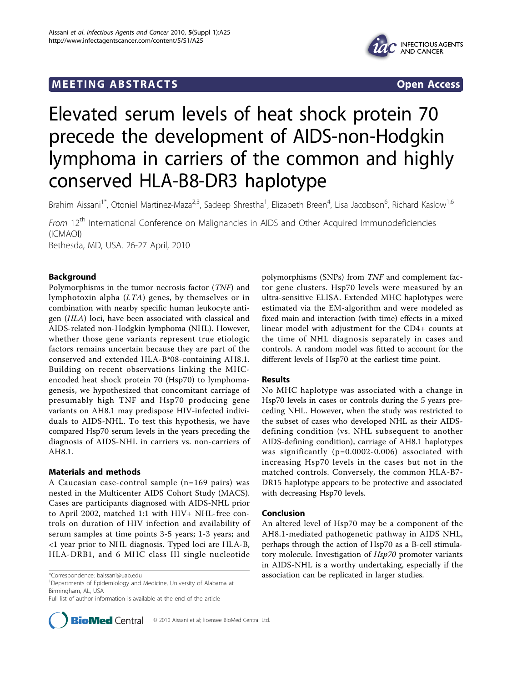# **MEETING ABSTRACTS** Open Access



# Elevated serum levels of heat shock protein 70 precede the development of AIDS-non-Hodgkin lymphoma in carriers of the common and highly conserved HLA-B8-DR3 haplotype

Brahim Aissani<sup>1\*</sup>, Otoniel Martinez-Maza<sup>2,3</sup>, Sadeep Shrestha<sup>1</sup>, Elizabeth Breen<sup>4</sup>, Lisa Jacobson<sup>6</sup>, Richard Kaslow<sup>1,6</sup>

From 12<sup>th</sup> International Conference on Malignancies in AIDS and Other Acquired Immunodeficiencies (ICMAOI) Bethesda, MD, USA. 26-27 April, 2010

Background

Polymorphisms in the tumor necrosis factor (TNF) and lymphotoxin alpha  $(LTA)$  genes, by themselves or in combination with nearby specific human leukocyte antigen (HLA) loci, have been associated with classical and AIDS-related non-Hodgkin lymphoma (NHL). However, whether those gene variants represent true etiologic factors remains uncertain because they are part of the conserved and extended HLA-B\*08-containing AH8.1. Building on recent observations linking the MHCencoded heat shock protein 70 (Hsp70) to lymphomagenesis, we hypothesized that concomitant carriage of presumably high TNF and Hsp70 producing gene variants on AH8.1 may predispose HIV-infected individuals to AIDS-NHL. To test this hypothesis, we have compared Hsp70 serum levels in the years preceding the diagnosis of AIDS-NHL in carriers vs. non-carriers of AH8.1.

# Materials and methods

A Caucasian case-control sample (n=169 pairs) was nested in the Multicenter AIDS Cohort Study (MACS). Cases are participants diagnosed with AIDS-NHL prior to April 2002, matched 1:1 with HIV+ NHL-free controls on duration of HIV infection and availability of serum samples at time points 3-5 years; 1-3 years; and <1 year prior to NHL diagnosis. Typed loci are HLA-B, HLA-DRB1, and 6 MHC class III single nucleotide

<sup>1</sup>Departments of Epidemiology and Medicine, University of Alabama at Birmingham, AL, USA

Full list of author information is available at the end of the article



polymorphisms (SNPs) from TNF and complement factor gene clusters. Hsp70 levels were measured by an ultra-sensitive ELISA. Extended MHC haplotypes were estimated via the EM-algorithm and were modeled as fixed main and interaction (with time) effects in a mixed linear model with adjustment for the CD4+ counts at the time of NHL diagnosis separately in cases and controls. A random model was fitted to account for the different levels of Hsp70 at the earliest time point.

## Results

No MHC haplotype was associated with a change in Hsp70 levels in cases or controls during the 5 years preceding NHL. However, when the study was restricted to the subset of cases who developed NHL as their AIDSdefining condition (vs. NHL subsequent to another AIDS-defining condition), carriage of AH8.1 haplotypes was significantly (p=0.0002-0.006) associated with increasing Hsp70 levels in the cases but not in the matched controls. Conversely, the common HLA-B7- DR15 haplotype appears to be protective and associated with decreasing Hsp70 levels.

## Conclusion

An altered level of Hsp70 may be a component of the AH8.1-mediated pathogenetic pathway in AIDS NHL, perhaps through the action of Hsp70 as a B-cell stimulatory molecule. Investigation of Hsp70 promoter variants in AIDS-NHL is a worthy undertaking, especially if the \*Correspondence: [baissani@uab.edu](mailto:baissani@uab.edu) **association can be replicated in larger studies.** 1.1 and 1.1 and 1.1 and 1.1 and 1.1 and 1.1 and 1.1 and 1.1 and 1.1 and 1.1 and 1.1 and 1.1 and 1.1 and 1.1 and 1.1 and 1.1 and 1.1 and 1